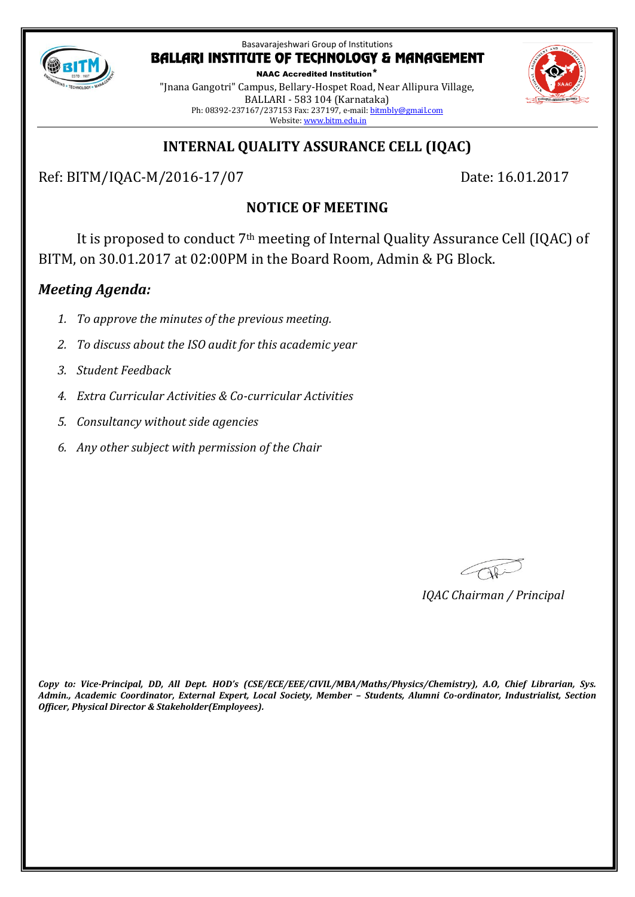

NAAC Accredited Institution\* "Jnana Gangotri" Campus, Bellary-Hospet Road, Near Allipura Village, BALLARI - 583 104 (Karnataka) Ph: 08392-237167/237153 Fax: 237197, e-mail[: bitmbly@gmail.com](mailto:bitmbly@gmail.com) Website[: www.bitm.edu.in](http://www.bec-bellary.com/)

# **INTERNAL QUALITY ASSURANCE CELL (IQAC)**

Ref: BITM/IQAC-M/2016-17/07 Date: 16.01.2017

# **NOTICE OF MEETING**

It is proposed to conduct 7th meeting of Internal Quality Assurance Cell (IQAC) of BITM, on 30.01.2017 at 02:00PM in the Board Room, Admin & PG Block.

# *Meeting Agenda:*

- *1. To approve the minutes of the previous meeting.*
- *2. To discuss about the ISO audit for this academic year*
- *3. Student Feedback*
- *4. Extra Curricular Activities & Co-curricular Activities*
- *5. Consultancy without side agencies*
- *6. Any other subject with permission of the Chair*

COR

*IQAC Chairman / Principal*

*Copy to: Vice-Principal, DD, All Dept. HOD's (CSE/ECE/EEE/CIVIL/MBA/Maths/Physics/Chemistry), A.O, Chief Librarian, Sys. Admin., Academic Coordinator, External Expert, Local Society, Member – Students, Alumni Co-ordinator, Industrialist, Section Officer, Physical Director & Stakeholder(Employees).*

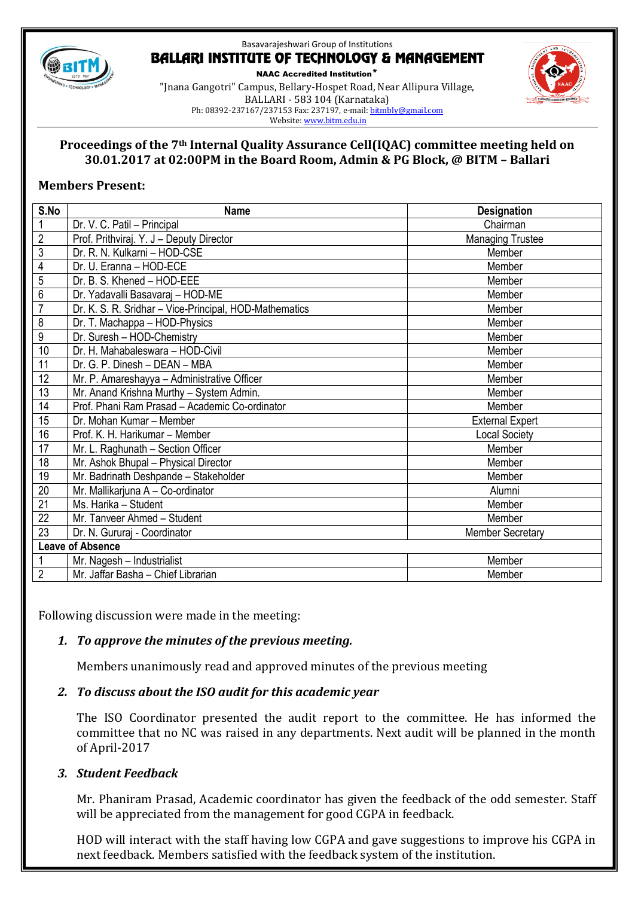

NAAC Accredited Institution\* "Jnana Gangotri" Campus, Bellary-Hospet Road, Near Allipura Village, BALLARI - 583 104 (Karnataka) Ph: 08392-237167/237153 Fax: 237197, e-mail[: bitmbly@gmail.com](mailto:bitmbly@gmail.com) Website[: www.bitm.edu.in](http://www.bec-bellary.com/)



#### **Proceedings of the 7th Internal Quality Assurance Cell(IQAC) committee meeting held on 30.01.2017 at 02:00PM in the Board Room, Admin & PG Block, @ BITM – Ballari**

#### **Members Present:**

| S.No                    | <b>Name</b>                                            | <b>Designation</b>      |
|-------------------------|--------------------------------------------------------|-------------------------|
| 1                       | Dr. V. C. Patil - Principal                            | Chairman                |
| $\overline{2}$          | Prof. Prithviraj. Y. J - Deputy Director               | <b>Managing Trustee</b> |
| $\overline{3}$          | Dr. R. N. Kulkarni - HOD-CSE                           | Member                  |
| $\overline{4}$          | Dr. U. Eranna - HOD-ECE                                | Member                  |
| 5                       | Dr. B. S. Khened - HOD-EEE                             | Member                  |
| 6                       | Dr. Yadavalli Basavaraj - HOD-ME                       | Member                  |
| $\overline{7}$          | Dr. K. S. R. Sridhar - Vice-Principal, HOD-Mathematics | Member                  |
| 8                       | Dr. T. Machappa - HOD-Physics                          | Member                  |
| $\overline{9}$          | Dr. Suresh - HOD-Chemistry                             | Member                  |
| 10                      | Dr. H. Mahabaleswara - HOD-Civil                       | Member                  |
| 11                      | Dr. G. P. Dinesh - DEAN - MBA                          | Member                  |
| 12                      | Mr. P. Amareshayya - Administrative Officer            | Member                  |
| $\overline{13}$         | Mr. Anand Krishna Murthy - System Admin.               | Member                  |
| 14                      | Prof. Phani Ram Prasad - Academic Co-ordinator         | Member                  |
| 15                      | Dr. Mohan Kumar - Member                               | <b>External Expert</b>  |
| 16                      | Prof. K. H. Harikumar - Member                         | <b>Local Society</b>    |
| 17                      | Mr. L. Raghunath - Section Officer                     | Member                  |
| 18                      | Mr. Ashok Bhupal - Physical Director                   | Member                  |
| 19                      | Mr. Badrinath Deshpande - Stakeholder                  | Member                  |
| 20                      | Mr. Mallikarjuna A - Co-ordinator                      | Alumni                  |
| $\overline{21}$         | Ms. Harika - Student                                   | Member                  |
| 22                      | Mr. Tanveer Ahmed - Student                            | Member                  |
| $\overline{23}$         | Dr. N. Gururaj - Coordinator                           | <b>Member Secretary</b> |
| <b>Leave of Absence</b> |                                                        |                         |
|                         | Mr. Nagesh - Industrialist                             | Member                  |
| $\overline{2}$          | Mr. Jaffar Basha - Chief Librarian                     | Member                  |

Following discussion were made in the meeting:

## *1. To approve the minutes of the previous meeting.*

Members unanimously read and approved minutes of the previous meeting

#### *2. To discuss about the ISO audit for this academic year*

The ISO Coordinator presented the audit report to the committee. He has informed the committee that no NC was raised in any departments. Next audit will be planned in the month of April-2017

#### *3. Student Feedback*

Mr. Phaniram Prasad, Academic coordinator has given the feedback of the odd semester. Staff will be appreciated from the management for good CGPA in feedback.

HOD will interact with the staff having low CGPA and gave suggestions to improve his CGPA in next feedback. Members satisfied with the feedback system of the institution.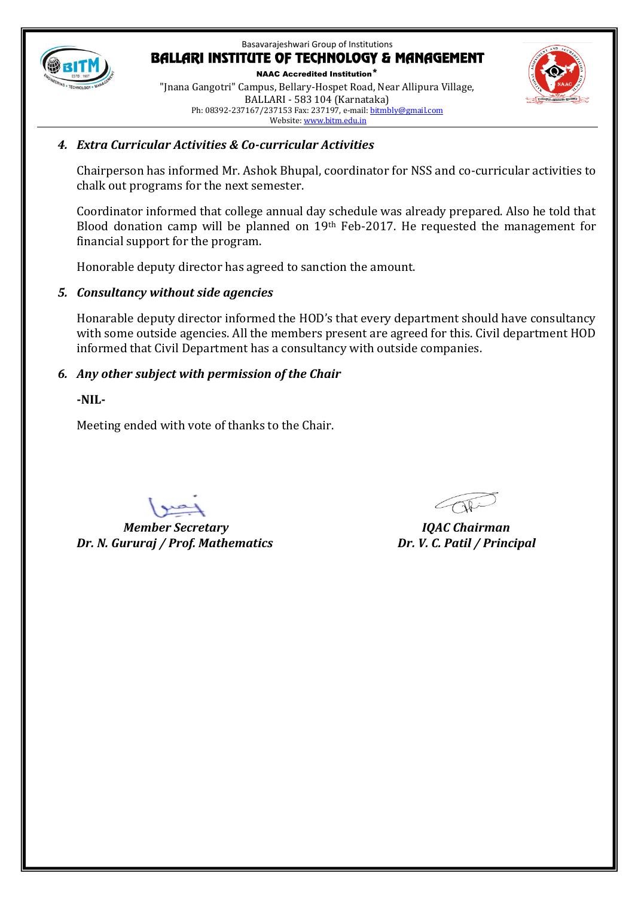

NAAC Accredited Institution\* "Jnana Gangotri" Campus, Bellary-Hospet Road, Near Allipura Village, BALLARI - 583 104 (Karnataka) Ph: 08392-237167/237153 Fax: 237197, e-mail[: bitmbly@gmail.com](mailto:bitmbly@gmail.com) Website[: www.bitm.edu.in](http://www.bec-bellary.com/)



### *4. Extra Curricular Activities & Co-curricular Activities*

Chairperson has informed Mr. Ashok Bhupal, coordinator for NSS and co-curricular activities to chalk out programs for the next semester.

Coordinator informed that college annual day schedule was already prepared. Also he told that Blood donation camp will be planned on 19<sup>th</sup> Feb-2017. He requested the management for financial support for the program.

Honorable deputy director has agreed to sanction the amount.

### *5. Consultancy without side agencies*

Honarable deputy director informed the HOD's that every department should have consultancy with some outside agencies. All the members present are agreed for this. Civil department HOD informed that Civil Department has a consultancy with outside companies.

### *6. Any other subject with permission of the Chair*

**-NIL-**

Meeting ended with vote of thanks to the Chair.

 *Member Secretary IQAC Chairman Dr. N. Gururaj / Prof. Mathematics Dr. V. C. Patil / Principal*